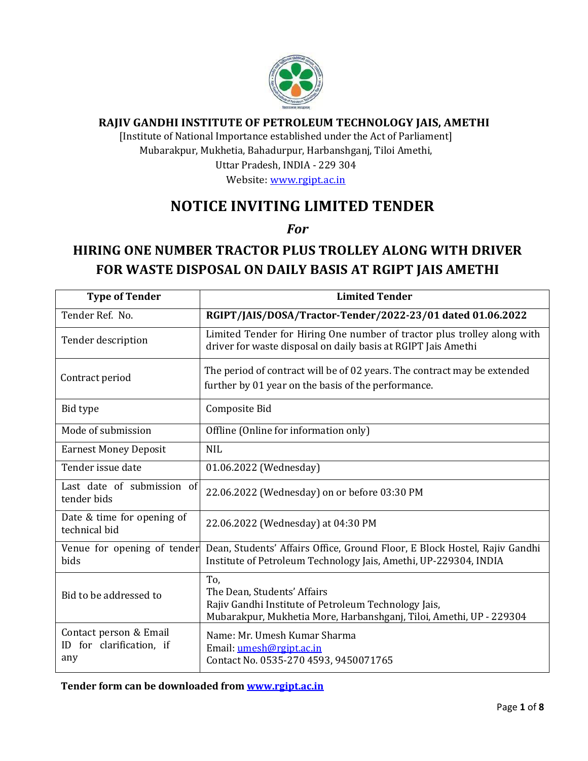

# **RAJIV GANDHI INSTITUTE OF PETROLEUM TECHNOLOGY JAIS, AMETHI**

[Institute of National Importance established under the Act of Parliament] Mubarakpur, Mukhetia, Bahadurpur, Harbanshganj, Tiloi Amethi, Uttar Pradesh, INDIA - 229 304

Website: [www.rgipt.ac.in](http://www.rgipt.ac.in/)

# **NOTICE INVITING LIMITED TENDER**

*For*

# **HIRING ONE NUMBER TRACTOR PLUS TROLLEY ALONG WITH DRIVER FOR WASTE DISPOSAL ON DAILY BASIS AT RGIPT JAIS AMETHI**

| <b>Type of Tender</b>                                     | <b>Limited Tender</b>                                                                                                                                             |  |  |  |
|-----------------------------------------------------------|-------------------------------------------------------------------------------------------------------------------------------------------------------------------|--|--|--|
| Tender Ref. No.                                           | RGIPT/JAIS/DOSA/Tractor-Tender/2022-23/01 dated 01.06.2022                                                                                                        |  |  |  |
| Tender description                                        | Limited Tender for Hiring One number of tractor plus trolley along with<br>driver for waste disposal on daily basis at RGIPT Jais Amethi                          |  |  |  |
| Contract period                                           | The period of contract will be of 02 years. The contract may be extended<br>further by 01 year on the basis of the performance.                                   |  |  |  |
| Bid type                                                  | Composite Bid                                                                                                                                                     |  |  |  |
| Mode of submission                                        | Offline (Online for information only)                                                                                                                             |  |  |  |
| <b>Earnest Money Deposit</b>                              | <b>NIL</b>                                                                                                                                                        |  |  |  |
| Tender issue date                                         | 01.06.2022 (Wednesday)                                                                                                                                            |  |  |  |
| Last date of submission of<br>tender bids                 | 22.06.2022 (Wednesday) on or before 03:30 PM                                                                                                                      |  |  |  |
| Date & time for opening of<br>technical bid               | 22.06.2022 (Wednesday) at 04:30 PM                                                                                                                                |  |  |  |
| Venue for opening of tender<br>bids                       | Dean, Students' Affairs Office, Ground Floor, E Block Hostel, Rajiv Gandhi<br>Institute of Petroleum Technology Jais, Amethi, UP-229304, INDIA                    |  |  |  |
| Bid to be addressed to                                    | To,<br>The Dean, Students' Affairs<br>Rajiv Gandhi Institute of Petroleum Technology Jais,<br>Mubarakpur, Mukhetia More, Harbanshganj, Tiloi, Amethi, UP - 229304 |  |  |  |
| Contact person & Email<br>ID for clarification, if<br>any | Name: Mr. Umesh Kumar Sharma<br>Email: umesh@rgipt.ac.in<br>Contact No. 0535-270 4593, 9450071765                                                                 |  |  |  |

**Tender form can be downloaded from www.rgipt.ac.in**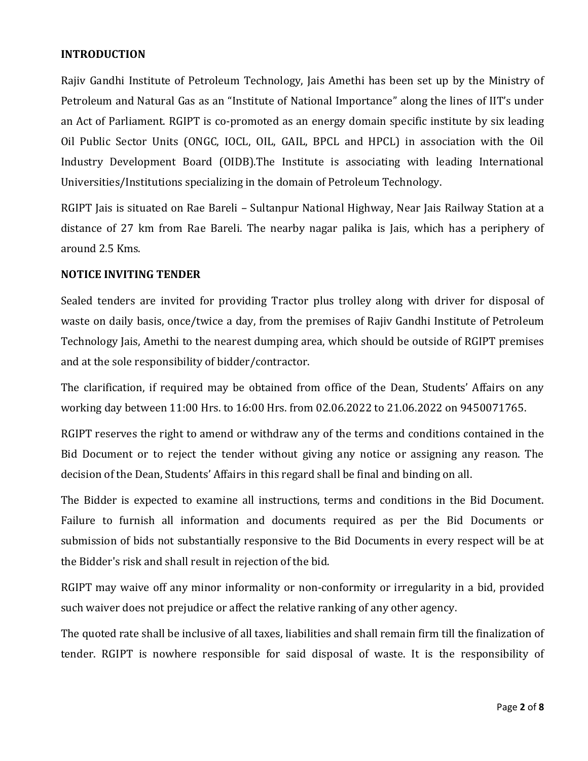## **INTRODUCTION**

Rajiv Gandhi Institute of Petroleum Technology, Jais Amethi has been set up by the Ministry of Petroleum and Natural Gas as an "Institute of National Importance" along the lines of IIT's under an Act of Parliament. RGIPT is co-promoted as an energy domain specific institute by six leading Oil Public Sector Units (ONGC, IOCL, OIL, GAIL, BPCL and HPCL) in association with the Oil Industry Development Board (OIDB).The Institute is associating with leading International Universities/Institutions specializing in the domain of Petroleum Technology.

RGIPT Jais is situated on Rae Bareli – Sultanpur National Highway, Near Jais Railway Station at a distance of 27 km from Rae Bareli. The nearby nagar palika is Jais, which has a periphery of around 2.5 Kms.

#### **NOTICE INVITING TENDER**

Sealed tenders are invited for providing Tractor plus trolley along with driver for disposal of waste on daily basis, once/twice a day, from the premises of Rajiv Gandhi Institute of Petroleum Technology Jais, Amethi to the nearest dumping area, which should be outside of RGIPT premises and at the sole responsibility of bidder/contractor.

The clarification, if required may be obtained from office of the Dean, Students' Affairs on any working day between 11:00 Hrs. to 16:00 Hrs. from 02.06.2022 to 21.06.2022 on 9450071765.

RGIPT reserves the right to amend or withdraw any of the terms and conditions contained in the Bid Document or to reject the tender without giving any notice or assigning any reason. The decision of the Dean, Students' Affairs in this regard shall be final and binding on all.

The Bidder is expected to examine all instructions, terms and conditions in the Bid Document. Failure to furnish all information and documents required as per the Bid Documents or submission of bids not substantially responsive to the Bid Documents in every respect will be at the Bidder's risk and shall result in rejection of the bid.

RGIPT may waive off any minor informality or non-conformity or irregularity in a bid, provided such waiver does not prejudice or affect the relative ranking of any other agency.

The quoted rate shall be inclusive of all taxes, liabilities and shall remain firm till the finalization of tender. RGIPT is nowhere responsible for said disposal of waste. It is the responsibility of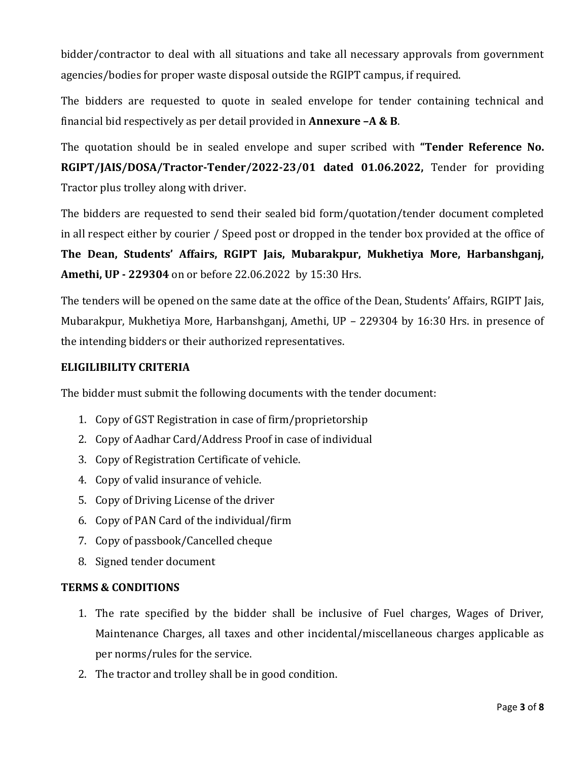bidder/contractor to deal with all situations and take all necessary approvals from government agencies/bodies for proper waste disposal outside the RGIPT campus, if required.

The bidders are requested to quote in sealed envelope for tender containing technical and financial bid respectively as per detail provided in **Annexure –A & B**.

The quotation should be in sealed envelope and super scribed with **"Tender Reference No. RGIPT/JAIS/DOSA/Tractor-Tender/2022-23/01 dated 01.06.2022,** Tender for providing Tractor plus trolley along with driver.

The bidders are requested to send their sealed bid form/quotation/tender document completed in all respect either by courier / Speed post or dropped in the tender box provided at the office of **The Dean, Students' Affairs, RGIPT Jais, Mubarakpur, Mukhetiya More, Harbanshganj, Amethi, UP - 229304** on or before 22.06.2022 by 15:30 Hrs.

The tenders will be opened on the same date at the office of the Dean, Students' Affairs, RGIPT Jais, Mubarakpur, Mukhetiya More, Harbanshganj, Amethi, UP – 229304 by 16:30 Hrs. in presence of the intending bidders or their authorized representatives.

# **ELIGILIBILITY CRITERIA**

The bidder must submit the following documents with the tender document:

- 1. Copy of GST Registration in case of firm/proprietorship
- 2. Copy of Aadhar Card/Address Proof in case of individual
- 3. Copy of Registration Certificate of vehicle.
- 4. Copy of valid insurance of vehicle.
- 5. Copy of Driving License of the driver
- 6. Copy of PAN Card of the individual/firm
- 7. Copy of passbook/Cancelled cheque
- 8. Signed tender document

## **TERMS & CONDITIONS**

- 1. The rate specified by the bidder shall be inclusive of Fuel charges, Wages of Driver, Maintenance Charges, all taxes and other incidental/miscellaneous charges applicable as per norms/rules for the service.
- 2. The tractor and trolley shall be in good condition.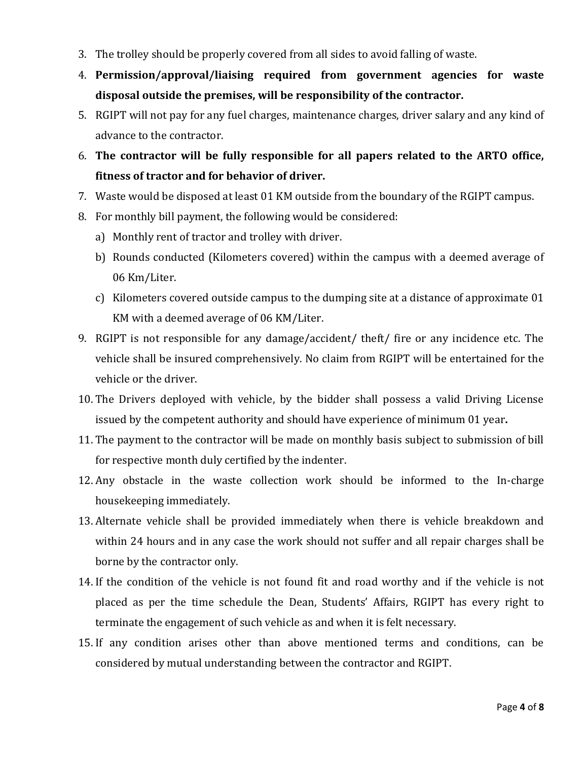- 3. The trolley should be properly covered from all sides to avoid falling of waste.
- 4. **Permission/approval/liaising required from government agencies for waste disposal outside the premises, will be responsibility of the contractor.**
- 5. RGIPT will not pay for any fuel charges, maintenance charges, driver salary and any kind of advance to the contractor.
- 6. **The contractor will be fully responsible for all papers related to the ARTO office, fitness of tractor and for behavior of driver.**
- 7. Waste would be disposed at least 01 KM outside from the boundary of the RGIPT campus.
- 8. For monthly bill payment, the following would be considered:
	- a) Monthly rent of tractor and trolley with driver.
	- b) Rounds conducted (Kilometers covered) within the campus with a deemed average of 06 Km/Liter.
	- c) Kilometers covered outside campus to the dumping site at a distance of approximate 01 KM with a deemed average of 06 KM/Liter.
- 9. RGIPT is not responsible for any damage/accident/ theft/ fire or any incidence etc. The vehicle shall be insured comprehensively. No claim from RGIPT will be entertained for the vehicle or the driver.
- 10. The Drivers deployed with vehicle, by the bidder shall possess a valid Driving License issued by the competent authority and should have experience of minimum 01 year**.**
- 11. The payment to the contractor will be made on monthly basis subject to submission of bill for respective month duly certified by the indenter.
- 12. Any obstacle in the waste collection work should be informed to the In-charge housekeeping immediately.
- 13. Alternate vehicle shall be provided immediately when there is vehicle breakdown and within 24 hours and in any case the work should not suffer and all repair charges shall be borne by the contractor only.
- 14. If the condition of the vehicle is not found fit and road worthy and if the vehicle is not placed as per the time schedule the Dean, Students' Affairs, RGIPT has every right to terminate the engagement of such vehicle as and when it is felt necessary.
- 15. If any condition arises other than above mentioned terms and conditions, can be considered by mutual understanding between the contractor and RGIPT.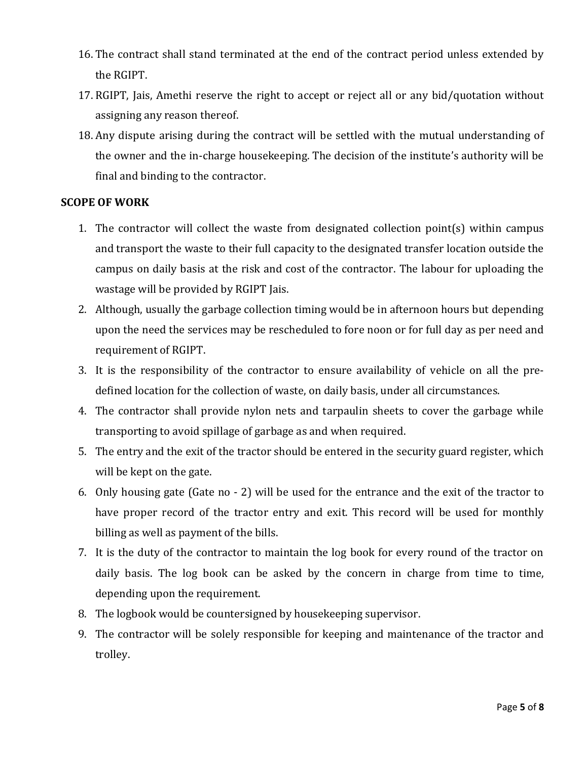- 16. The contract shall stand terminated at the end of the contract period unless extended by the RGIPT.
- 17. RGIPT, Jais, Amethi reserve the right to accept or reject all or any bid/quotation without assigning any reason thereof.
- 18. Any dispute arising during the contract will be settled with the mutual understanding of the owner and the in-charge housekeeping. The decision of the institute's authority will be final and binding to the contractor.

## **SCOPE OF WORK**

- 1. The contractor will collect the waste from designated collection point(s) within campus and transport the waste to their full capacity to the designated transfer location outside the campus on daily basis at the risk and cost of the contractor. The labour for uploading the wastage will be provided by RGIPT Jais.
- 2. Although, usually the garbage collection timing would be in afternoon hours but depending upon the need the services may be rescheduled to fore noon or for full day as per need and requirement of RGIPT.
- 3. It is the responsibility of the contractor to ensure availability of vehicle on all the predefined location for the collection of waste, on daily basis, under all circumstances.
- 4. The contractor shall provide nylon nets and tarpaulin sheets to cover the garbage while transporting to avoid spillage of garbage as and when required.
- 5. The entry and the exit of the tractor should be entered in the security guard register, which will be kept on the gate.
- 6. Only housing gate (Gate no 2) will be used for the entrance and the exit of the tractor to have proper record of the tractor entry and exit. This record will be used for monthly billing as well as payment of the bills.
- 7. It is the duty of the contractor to maintain the log book for every round of the tractor on daily basis. The log book can be asked by the concern in charge from time to time, depending upon the requirement.
- 8. The logbook would be countersigned by housekeeping supervisor.
- 9. The contractor will be solely responsible for keeping and maintenance of the tractor and trolley.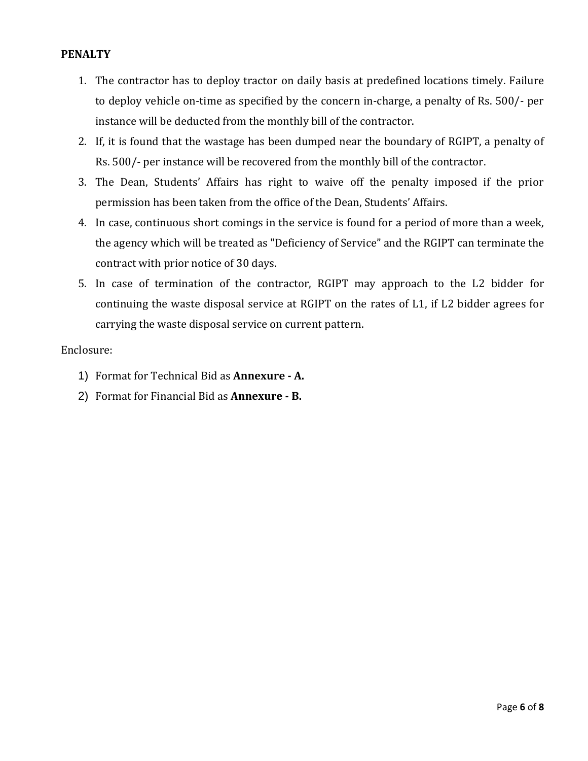## **PENALTY**

- 1. The contractor has to deploy tractor on daily basis at predefined locations timely. Failure to deploy vehicle on-time as specified by the concern in-charge, a penalty of Rs. 500/- per instance will be deducted from the monthly bill of the contractor.
- 2. If, it is found that the wastage has been dumped near the boundary of RGIPT, a penalty of Rs. 500/- per instance will be recovered from the monthly bill of the contractor.
- 3. The Dean, Students' Affairs has right to waive off the penalty imposed if the prior permission has been taken from the office of the Dean, Students' Affairs.
- 4. In case, continuous short comings in the service is found for a period of more than a week, the agency which will be treated as "Deficiency of Service" and the RGIPT can terminate the contract with prior notice of 30 days.
- 5. In case of termination of the contractor, RGIPT may approach to the L2 bidder for continuing the waste disposal service at RGIPT on the rates of L1, if L2 bidder agrees for carrying the waste disposal service on current pattern.

#### Enclosure:

- 1) Format for Technical Bid as **Annexure - A.**
- 2) Format for Financial Bid as **Annexure - B.**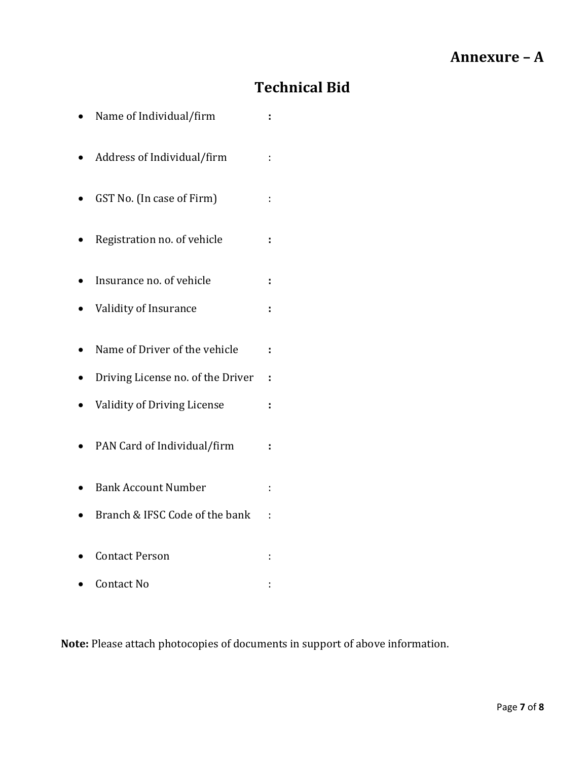# **Technical Bid**

| Name of Individual/firm            | ÷  |
|------------------------------------|----|
| Address of Individual/firm         | t  |
| GST No. (In case of Firm)          | t. |
| Registration no. of vehicle        | t  |
| Insurance no. of vehicle           | t  |
| Validity of Insurance              | ÷  |
| Name of Driver of the vehicle      | ÷  |
| Driving License no. of the Driver  | ÷  |
| <b>Validity of Driving License</b> | ÷  |
| PAN Card of Individual/firm        | t  |
| <b>Bank Account Number</b>         | İ, |
| Branch & IFSC Code of the bank     |    |
| <b>Contact Person</b>              | ÷  |
| Contact No                         | t  |

**Note:** Please attach photocopies of documents in support of above information.